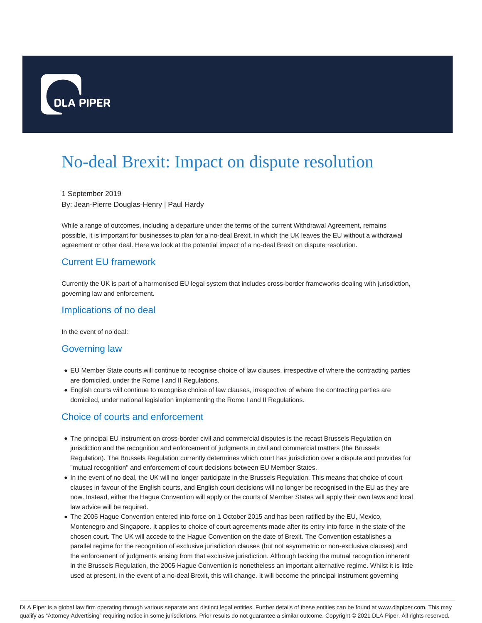

# No-deal Brexit: Impact on dispute resolution

1 September 2019 By: Jean-Pierre Douglas-Henry | Paul Hardy

While a range of outcomes, including a departure under the terms of the current Withdrawal Agreement, remains possible, it is important for businesses to plan for a no-deal Brexit, in which the UK leaves the EU without a withdrawal agreement or other deal. Here we look at the potential impact of a no-deal Brexit on dispute resolution.

# Current EU framework

Currently the UK is part of a harmonised EU legal system that includes cross-border frameworks dealing with jurisdiction, governing law and enforcement.

#### Implications of no deal

In the event of no deal:

#### Governing law

- EU Member State courts will continue to recognise choice of law clauses, irrespective of where the contracting parties are domiciled, under the Rome I and II Regulations.
- English courts will continue to recognise choice of law clauses, irrespective of where the contracting parties are domiciled, under national legislation implementing the Rome I and II Regulations.

## Choice of courts and enforcement

- The principal EU instrument on cross-border civil and commercial disputes is the recast Brussels Regulation on jurisdiction and the recognition and enforcement of judgments in civil and commercial matters (the Brussels Regulation). The Brussels Regulation currently determines which court has jurisdiction over a dispute and provides for "mutual recognition" and enforcement of court decisions between EU Member States.
- In the event of no deal, the UK will no longer participate in the Brussels Regulation. This means that choice of court clauses in favour of the English courts, and English court decisions will no longer be recognised in the EU as they are now. Instead, either the Hague Convention will apply or the courts of Member States will apply their own laws and local law advice will be required.
- The 2005 Hague Convention entered into force on 1 October 2015 and has been ratified by the EU, Mexico, Montenegro and Singapore. It applies to choice of court agreements made after its entry into force in the state of the chosen court. The UK will accede to the Hague Convention on the date of Brexit. The Convention establishes a parallel regime for the recognition of exclusive jurisdiction clauses (but not asymmetric or non-exclusive clauses) and the enforcement of judgments arising from that exclusive jurisdiction. Although lacking the mutual recognition inherent in the Brussels Regulation, the 2005 Hague Convention is nonetheless an important alternative regime. Whilst it is little used at present, in the event of a no-deal Brexit, this will change. It will become the principal instrument governing